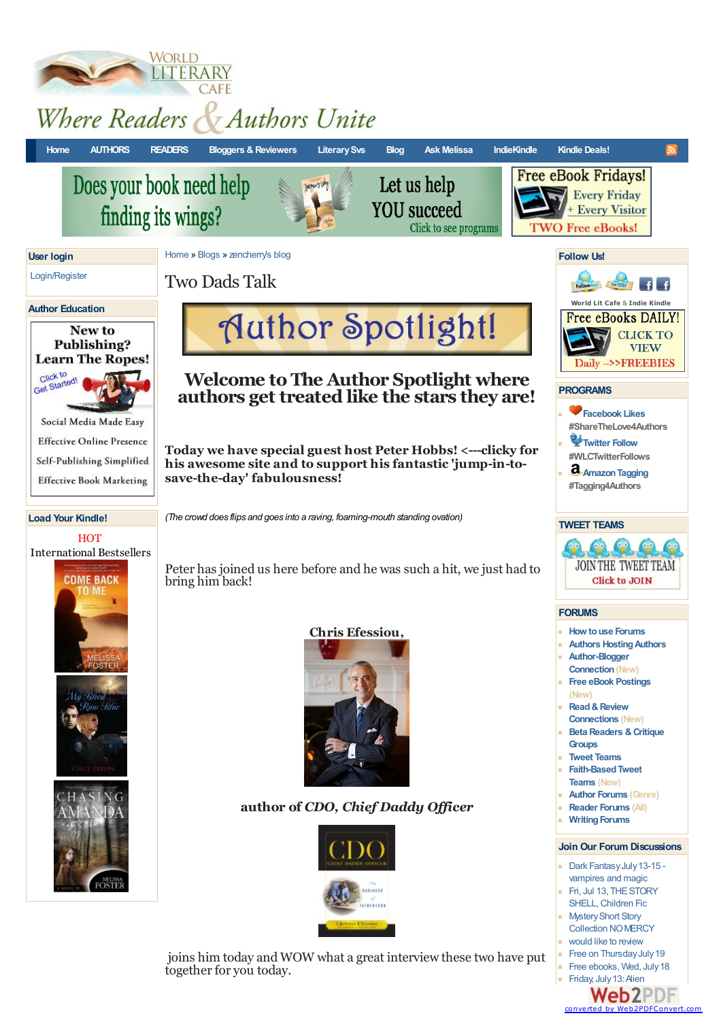

**WORLD** 

**Web2PDF** converted by [Web2PDFConvert.com](http://www.web2pdfconvert.com?ref=PDF)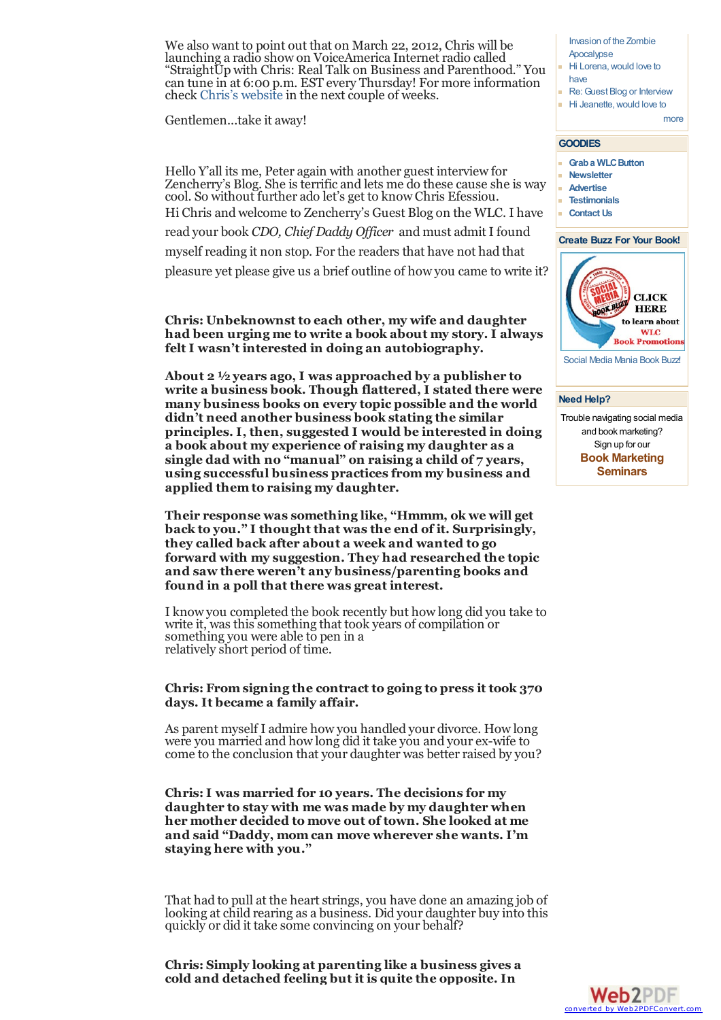We also want to point out that on March 22, 2012, Chris will be launching a radio show on VoiceAmerica Internet radio called "StraightUp with Chris: Real Talk on Business and Parenthood." You can tune in at 6:00 p.m. EST every Thursday! For more information check Chris's [website](http://www.chrisefessiou.com/) in the next couple of weeks.

Gentlemen...take it away!

Hello Y'all its me, Peter again with another guest interview for Zencherry's Blog. She is terrific and lets me do these cause she is way cool. So without further ado let's get to know Chris Efessiou. Hi Chris and welcome to Zencherry's Guest Blog on the WLC. I have read your book *CDO, Chief Daddy Of icer* and must admit I found myself reading it non stop. For the readers that have not had that pleasure yet please give us a brief outline of how you came to write it?

**Chris: Unbeknownst to each other, my wife and daughter had been urging me to write a book about my story. I always felt I wasn't interested in doing an autobiography.**

**About 2 ½ years ago, I was approached by a publisher to write a business book. Though flattered, I stated there were many business books on every topic possible and the world didn't need another business book stating the similar principles. I, then, suggested I would be interested in doing a book about my experience of raising my daughter as a single dad with no "manual" on raising a child of 7 years, using successful business practices from my business and applied them to raising my daughter.**

**Their response was something like, "Hmmm, ok we will get back to you." I thought that was the end of it. Surprisingly, they called back after about a week and wanted to go forward with my suggestion. They had researched the topic and saw there weren't any business/parenting books and found in a poll that there was great interest.**

I know you completed the book recently but how long did you take to write it, was this something that took years of compilation or something you were able to pen in a relatively short period of time.

### **Chris: From signing the contract to going to press it took 370 days. It became a family affair.**

As parent myself I admire how you handled your divorce. How long were you married and how long did it take you and your ex-wife to come to the conclusion that your daughter was better raised by you?

**Chris:I was married for 10 years. The decisions for my daughter to stay with me was made by my daughter when her mother decided to move out of town. She looked at me and said "Daddy, mom can move wherever she wants. I'm staying here with you."**

That had to pull at the heart strings, you have done an amazing job of looking at child rearing as a business. Did your daughter buy into this quickly or did it take some convincing on your behalf?

**Chris: Simply looking at parenting like a business gives a cold and detached feeling but it is quite the opposite. In**

Invasion of the Zombie **[Apocalypse](http://www.worldliterarycafe.com/content/free-ebooks-friday-july-13#comment-21705)** 

- Hi [Lorena,would](http://www.worldliterarycafe.com/content/rachelle-ayala-hosting-blogger-guest-post-book-tours-interviews#comment-21698) love to have
- Re: Guest Blog or Interview
- **Hi** Jeanette, would love to

[more](http://www.worldliterarycafe.com/comments/recent)

#### **GOODIES**

- **Graba [WLCButton](http://www.worldliterarycafe.com/content/button-0)**
- **[Newsletter](http://visitor.r20.constantcontact.com/manage/optin/ea?v=001PqSzKNyNow_xILV-4I2c0xF5QYbmXM0zye_Ah2rFiDUrljNoo9w5GH5exgXtkNhnjBI7uyptxCInl9U-kwD99Q%3D%3D)**
- **[Advertise](http://www.worldliterarycafe.com/content/social-media-mania-get-marketing-buzz-your-book)**
- **[Testimonials](http://www.worldliterarycafe.com/content/testimonials)**
- **[Contact](http://www.worldliterarycafe.com/contact) Us**

#### **Create Buzz For Your Book!**



[Social](http://www.worldliterarycafe.com/content/social-media-mania-get-marketing-buzz-your-book) Media Mania Book Buzz!

#### **Need Help?**

Trouble navigating social media and book marketing? Sign up for our **Book [Marketing](http://www.womensliterarycafe.com/content/marketing-platform-building-seminars-0) Seminars**

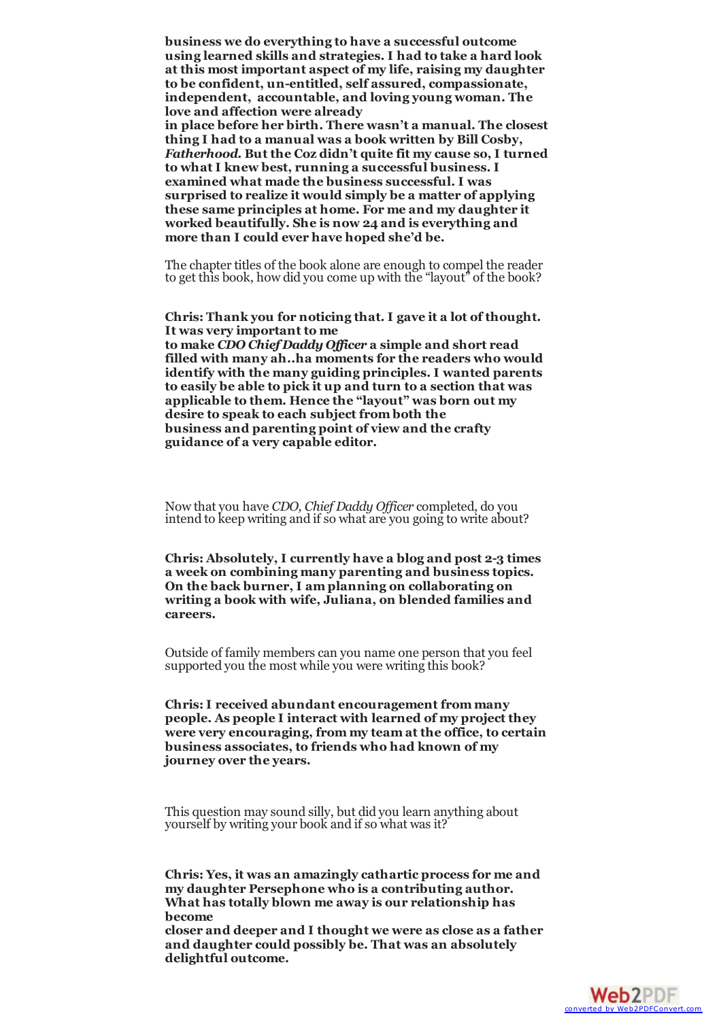**business we do everything to have a successful outcome using learned skills and strategies. I had to take a hard look at this most important aspect of my life, raising my daughter to be confident, un-entitled, self assured, compassionate, independent, accountable, and loving young woman. The love and affection were already in place before her birth. There wasn't a manual. The closest thing I had to a manual was a book written by Bill Cosby,** *Fatherhood***. But the Coz didn't quite fit my cause so, I turned to what I knew best, running a successful business. I examined what made the business successful. I was surprised to realize it would simply be a matter of applying these same principles at home. For me and my daughter it worked beautifully. She is now 24 and is everything and more than I could ever have hoped she'd be.**

The chapter titles of the book alone are enough to compel the reader to get this book, how did you come up with the "layout" of the book?

**Chris: Thank you for noticing that. I gave it a lot of thought. It was very important to me**

**to make** *CDO Chief Daddy Of icer* **a simple and short read filled with many ah..ha moments for the readers who would identify with the many guiding principles. I wanted parents to easily be able to pick it up and turn to a section that was applicable to them. Hence the "layout" was born out my desire to speak to each subject from both the business and parenting point of view and the crafty guidance of a very capable editor.**

Now that you have *CDO, Chief Daddy Of icer* completed, do you intend to keep writing and if so what are you going to write about?

**Chris: Absolutely, I currently have a blog and post 2-3 times a week on combining many parenting and business topics. On the back burner, I am planning on collaborating on writing a book with wife, Juliana, on blended families and careers.**

Outside of family members can you name one person that you feel supported you the most while you were writing this book?

**Chris:I received abundant encouragement from many people. As people I interact with learned of my project they were very encouraging, from my team at the office, to certain business associates, to friends who had known of my journey over the years.**

This question may sound silly, but did you learn anything about yourself by writing your book and if so what was it?

**Chris: Yes, it was an amazingly cathartic process for me and** my daughter Persephone who is a contributing author.<br>What has totally blown me away is our relationship has **become closer and deeper and I thought we were as close as a father**

**and daughter could possibly be. That was an absolutely delightful outcome.**

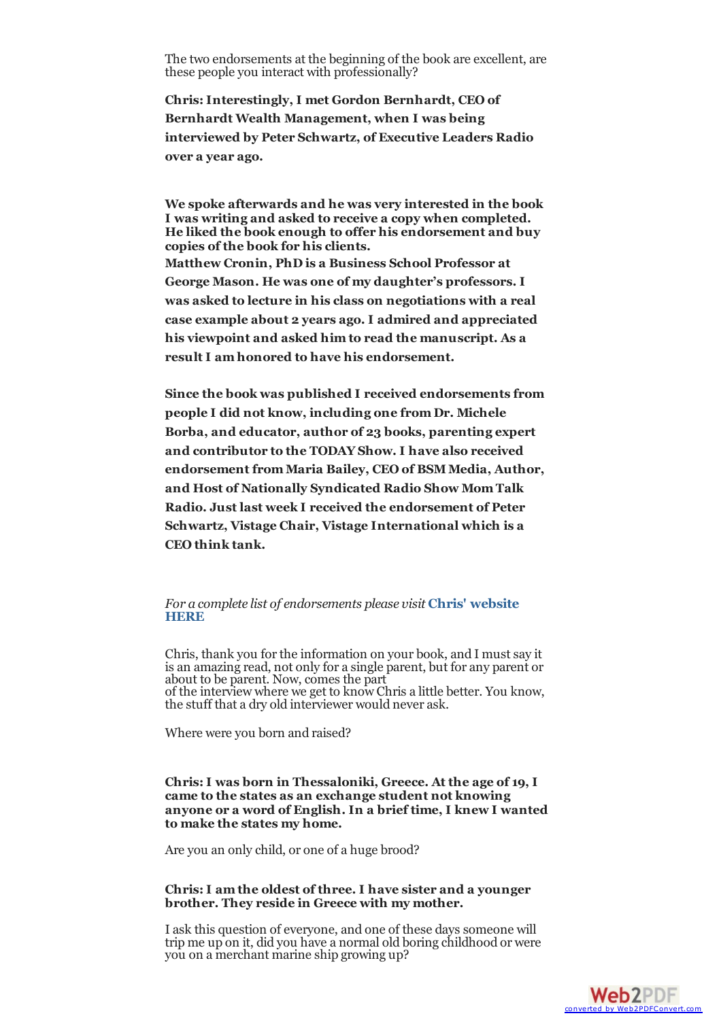<span id="page-3-1"></span><span id="page-3-0"></span>The two endorsements at the beginning of the book are excellent, are these people you interact with professionally?

**Chris:Interestingly, I met Gordon Bernhardt, CEO of Bernhardt Wealth Management, when I was being interviewed by Peter Schwartz, of Executive Leaders Radio over a year ago.**

**We spoke afterwards and he was very interested in the book I was writing and asked to receive a copy when completed. He liked the book enough to offer his endorsement and buy copies of the book for his clients. Matthew Cronin, PhD is a Business School Professor at George Mason. He was one of my daughter's professors. I was asked to lecture in his class on negotiations with a real case example about 2 years ago. I admired and appreciated his viewpoint and asked him to read the manuscript. As a result I am honored to have his endorsement.**

**Since the book was published I received endorsements from people I did not know, including one from Dr. Michele Borba, and educator, author of 23 books, parenting expert and contributor to the TODAY Show. I have also received endorsement from Maria Bailey, CEO of BSM Media, Author, and Host of Nationally Syndicated Radio Show Mom Talk Radio. Just last week I received the endorsement of Peter Schwartz, Vistage Chair, Vistage International which is a CEO think tank.**

### *For a complete list of [endorsements](http://chrisefessiou.com/index.php? option=com_content&view=article&id=73&Itemid=93) please visit* **Chris' website HERE**

Chris, thank you forthe information on your book, and I mustsay it is an amazing read, not only for a single parent, but for any parent or about to be parent. Now,comes the part of the interview where we get to know Chris a little better. You know, the stuff that a dry old interviewer would never ask.

Where were you born and raised?

### **Chris:I was born in Thessaloniki, Greece. At the age of 19, I came to the states as an exchange student not knowing anyone or a word of English. In a brief time, I knew I wanted to make the states my home.**

Are you an only child, or one of a huge brood?

### **Chris:I am the oldest of three. I have sister and a younger brother. They reside in Greece with my mother.**

I ask this question of everyone, and one of these days someone will trip me up on it, did you have a normal old boring childhood or were you on a merchant marine ship growing up?

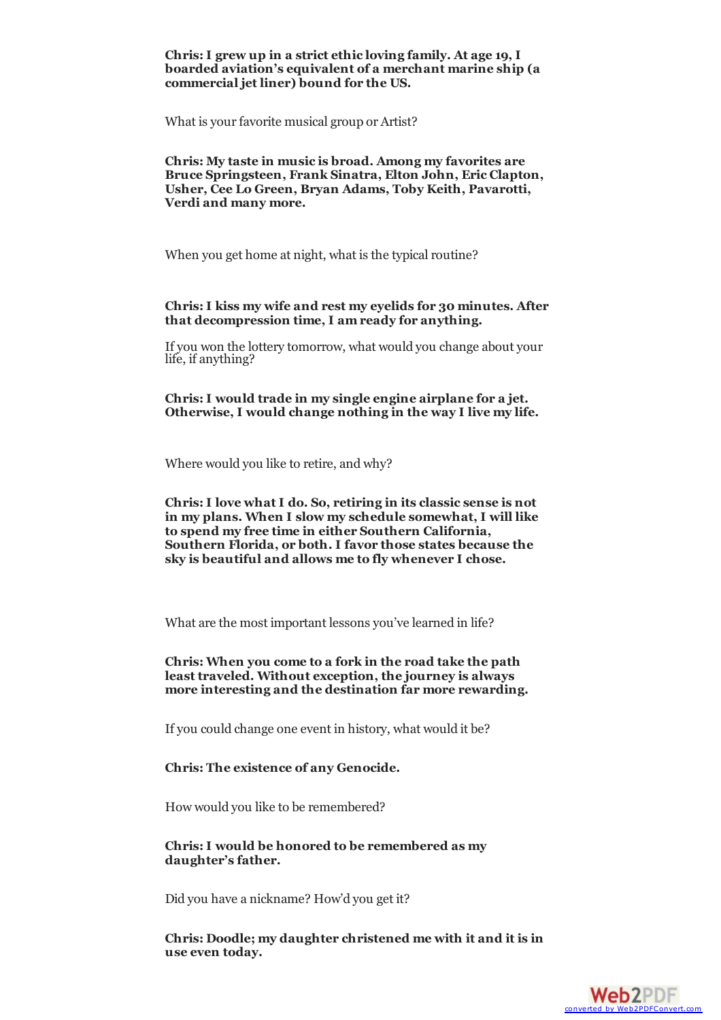# **Chris:I grew up in a strict ethic loving family. At age 19, I boarded aviation's equivalent of a merchant marine ship (a commercial jet liner) bound for the US.**

What is your favorite musical group or Artist?

**Chris: My taste in music is broad. Among my favorites are Bruce Springsteen, Frank Sinatra, Elton John, Eric Clapton, Usher, Cee Lo Green, Bryan Adams, Toby Keith, Pavarotti, Verdi and many more.**

When you get home at night, what is the typical routine?

## **Chris:I kiss my wife and rest my eyelids for 30 minutes. After that decompression time, I am ready for anything.**

If you won the lottery tomorrow, what would you change about your life, if anything?

**Chris:I would trade in my single engine airplane for a jet. Otherwise, I would change nothing in the way I live my life.**

Where would you like to retire, and why?

**Chris:I love what I do. So, retiring in its classic sense is not in my plans. When I slow my schedule somewhat, I will like to spend my free time in either Southern California, Southern Florida, or both. I favor those states because the sky is beautiful and allows me to fly whenever I chose.**

What are the most important lessons you've learned in life?

**Chris: When you come to a fork in the road take the path least traveled. Without exception, the journey is always more interesting and the destination far more rewarding.**

If you could change one event in history, what would it be?

## **Chris: The existence of any Genocide.**

How would you like to be remembered?

**Chris:I would be honored to be remembered as my daughter's father.**

Did you have a nickname? How'd you get it?

**Chris: Doodle; my daughter christened me with it and it is in use even today.**

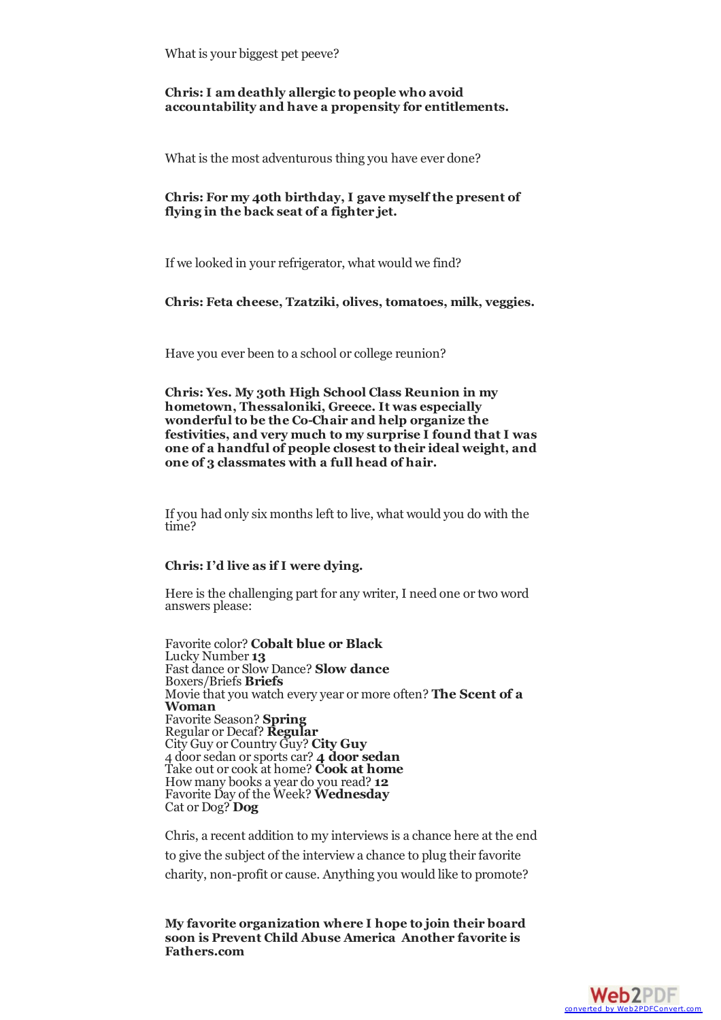What is your biggest pet peeve?

## **Chris:I am deathly allergic to people who avoid accountability and have a propensity for entitlements.**

What is the most adventurous thing you have ever done?

# **Chris: For my 40th birthday, I gave myself the present of flying in the back seat of a fighter jet.**

If we looked in your refrigerator, what would we find?

### **Chris: Feta cheese, Tzatziki, olives, tomatoes, milk, veggies.**

Have you ever been to a school or college reunion?

**Chris: Yes. My 30th High School Class Reunion in my hometown, Thessaloniki, Greece. It was especially wonderful to be the Co-Chair and help organize the festivities, and very much to my surprise I found that I was one of a handful of people closest to their ideal weight, and one of 3 classmates with a full head of hair.**

If you had only six months left to live, what would you do with the time?

#### **Chris:I'd live as if I were dying.**

Here is the challenging part for any writer, I need one ortwo word answers please:

Favorite color? **Cobalt blue or Black** Lucky Number **13** Fast dance or Slow Dance? **Slow dance** Boxers/Briefs **Briefs** Movie that you watch every year or more often? **The Scent of a Woman** Favorite Season? **Spring** Regular or Decaf? **Regular** City Guy or Country Guy? **City Guy** 4 doorsedan orsportscar? **4 door sedan** Take out orcook at home? **Cook at home** How many books a year do you read? **12** Favorite Day of the Week? **Wednesday** Cat or Dog? **Dog**

Chris, a recent addition to my interviews is a chance here at the end to give the subject of the interview a chance to plug their favorite charity, non-profit or cause. Anything you would like to promote?

**My favorite organization where I hope to join their board soon is Prevent Child Abuse [America](http://www.preventchildabuse.org/index.shtml) Another favorite is Fathers.com**